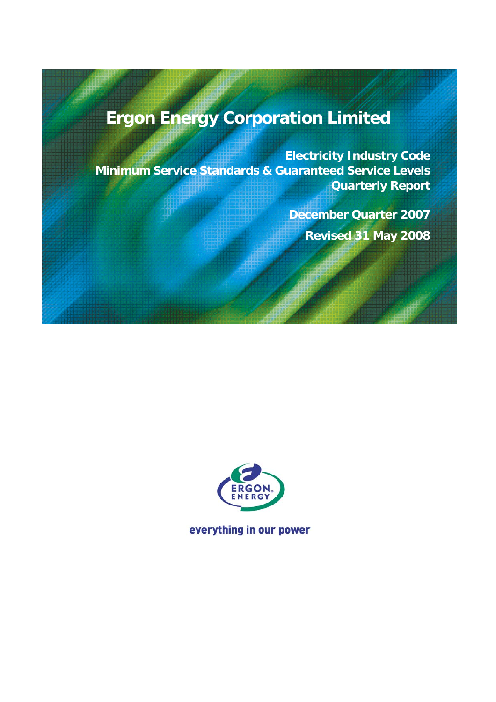# **Ergon Energy Corporation Limited**

**Electricity Industry Code Minimum Service Standards & Guaranteed Service Levels Quarterly Report** 

> **December Quarter 2007 Revised 31 May 2008**



everything in our power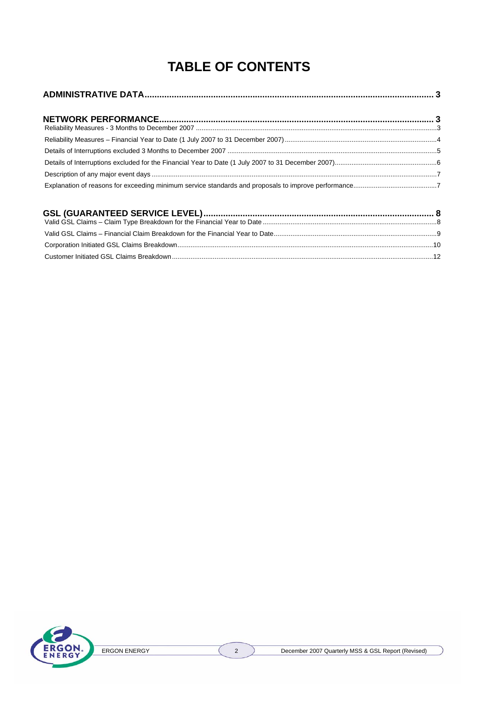## **TABLE OF CONTENTS**

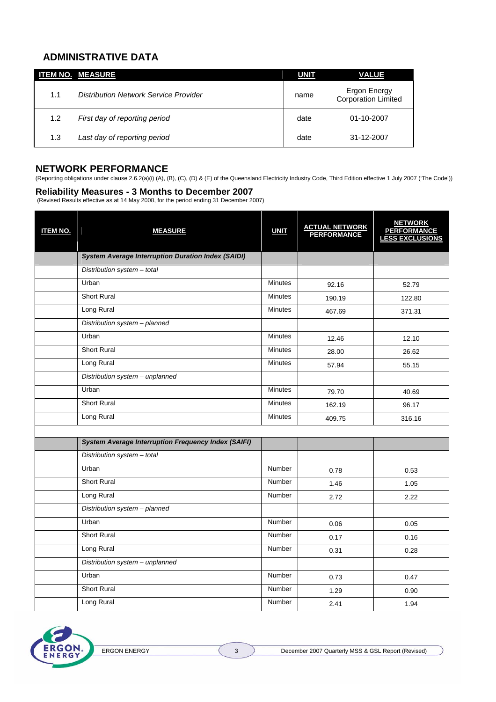## **ADMINISTRATIVE DATA**

|     | <b>ITEM NO. MEASURE</b>                      | <u>UNIT</u> | <b>VALUE</b>                               |
|-----|----------------------------------------------|-------------|--------------------------------------------|
| 1.1 | <b>Distribution Network Service Provider</b> | name        | Ergon Energy<br><b>Corporation Limited</b> |
| 1.2 | First day of reporting period                | date        | 01-10-2007                                 |
| 1.3 | Last day of reporting period                 | date        | 31-12-2007                                 |

#### **NETWORK PERFORMANCE**

(Reporting obligations under clause 2.6.2(a)(i) (A), (B), (C), (D) & (E) of the Queensland Electricity Industry Code, Third Edition effective 1 July 2007 ('The Code'))

#### **Reliability Measures - 3 Months to December 2007**

(Revised Results effective as at 14 May 2008, for the period ending 31 December 2007)

| <b>ITEM NO.</b> | <b>MEASURE</b>                                             | <b>UNIT</b>    | ACTUAL NETWORK<br>PERFORMANCE | <b>NETWORK</b><br>PERFORMANCE<br>LESS EXCLUSIONS |
|-----------------|------------------------------------------------------------|----------------|-------------------------------|--------------------------------------------------|
|                 | <b>System Average Interruption Duration Index (SAIDI)</b>  |                |                               |                                                  |
|                 | Distribution system - total                                |                |                               |                                                  |
|                 | Urban                                                      | Minutes        | 92.16                         | 52.79                                            |
|                 | <b>Short Rural</b>                                         | <b>Minutes</b> | 190.19                        | 122.80                                           |
|                 | Long Rural                                                 | <b>Minutes</b> | 467.69                        | 371.31                                           |
|                 | Distribution system - planned                              |                |                               |                                                  |
|                 | Urban                                                      | <b>Minutes</b> | 12.46                         | 12.10                                            |
|                 | Short Rural                                                | Minutes        | 28.00                         | 26.62                                            |
|                 | Long Rural                                                 | <b>Minutes</b> | 57.94                         | 55.15                                            |
|                 | Distribution system - unplanned                            |                |                               |                                                  |
|                 | Urban                                                      | <b>Minutes</b> | 79.70                         | 40.69                                            |
|                 | <b>Short Rural</b>                                         | <b>Minutes</b> | 162.19                        | 96.17                                            |
|                 | Long Rural                                                 | <b>Minutes</b> | 409.75                        | 316.16                                           |
|                 |                                                            |                |                               |                                                  |
|                 | <b>System Average Interruption Frequency Index (SAIFI)</b> |                |                               |                                                  |
|                 | Distribution system - total                                |                |                               |                                                  |
|                 | Urban                                                      | Number         | 0.78                          | 0.53                                             |
|                 | <b>Short Rural</b>                                         | <b>Number</b>  | 1.46                          | 1.05                                             |
|                 | Long Rural                                                 | Number         | 2.72                          | 2.22                                             |
|                 | Distribution system - planned                              |                |                               |                                                  |
|                 | Urban                                                      | Number         | 0.06                          | 0.05                                             |
|                 | <b>Short Rural</b>                                         | Number         | 0.17                          | 0.16                                             |
|                 | Long Rural                                                 | Number         | 0.31                          | 0.28                                             |
|                 | Distribution system - unplanned                            |                |                               |                                                  |
|                 | Urban                                                      | Number         | 0.73                          | 0.47                                             |
|                 | <b>Short Rural</b>                                         | <b>Number</b>  | 1.29                          | 0.90                                             |
|                 | Long Rural                                                 | <b>Number</b>  | 2.41                          | 1.94                                             |

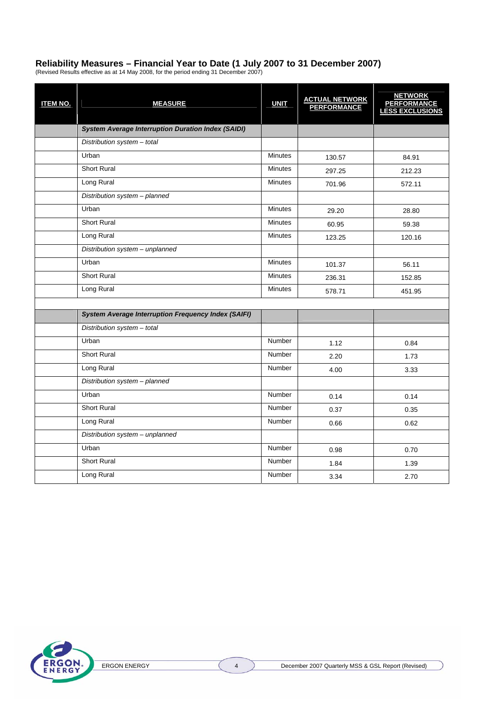## **Reliability Measures – Financial Year to Date (1 July 2007 to 31 December 2007)**

(Revised Results effective as at 14 May 2008, for the period ending 31 December 2007)

| <b>ITEM NO.</b> | <b>MEASURE</b>                                             | <b>UNIT</b>    | ACTUAL NETWORK<br>PERFORMANCE | <b>NETWORK</b><br>PERFORMANCE<br>LESS EXCLUSIONS |
|-----------------|------------------------------------------------------------|----------------|-------------------------------|--------------------------------------------------|
|                 | <b>System Average Interruption Duration Index (SAIDI)</b>  |                |                               |                                                  |
|                 | Distribution system - total                                |                |                               |                                                  |
|                 | Urban                                                      | <b>Minutes</b> | 130.57                        | 84.91                                            |
|                 | <b>Short Rural</b>                                         | <b>Minutes</b> | 297.25                        | 212.23                                           |
|                 | Long Rural                                                 | <b>Minutes</b> | 701.96                        | 572.11                                           |
|                 | Distribution system - planned                              |                |                               |                                                  |
|                 | Urban                                                      | <b>Minutes</b> | 29.20                         | 28.80                                            |
|                 | <b>Short Rural</b>                                         | <b>Minutes</b> | 60.95                         | 59.38                                            |
|                 | Long Rural                                                 | <b>Minutes</b> | 123.25                        | 120.16                                           |
|                 | Distribution system - unplanned                            |                |                               |                                                  |
|                 | Urban                                                      | <b>Minutes</b> | 101.37                        | 56.11                                            |
|                 | <b>Short Rural</b>                                         | <b>Minutes</b> | 236.31                        | 152.85                                           |
|                 | Long Rural                                                 | <b>Minutes</b> | 578.71                        | 451.95                                           |
|                 |                                                            |                |                               |                                                  |
|                 | <b>System Average Interruption Frequency Index (SAIFI)</b> |                |                               |                                                  |
|                 | Distribution system - total                                |                |                               |                                                  |
|                 | Urban                                                      | <b>Number</b>  | 1.12                          | 0.84                                             |
|                 | <b>Short Rural</b>                                         | <b>Number</b>  | 2.20                          | 1.73                                             |
|                 | Long Rural                                                 | <b>Number</b>  | 4.00                          | 3.33                                             |
|                 | Distribution system - planned                              |                |                               |                                                  |
|                 | Urban                                                      | Number         | 0.14                          | 0.14                                             |
|                 | <b>Short Rural</b>                                         | Number         | 0.37                          | 0.35                                             |
|                 | Long Rural                                                 | Number         | 0.66                          | 0.62                                             |
|                 | Distribution system - unplanned                            |                |                               |                                                  |
|                 | Urban                                                      | <b>Number</b>  | 0.98                          | 0.70                                             |
|                 | <b>Short Rural</b>                                         | Number         | 1.84                          | 1.39                                             |
|                 | Long Rural                                                 | Number         | 3.34                          | 2.70                                             |

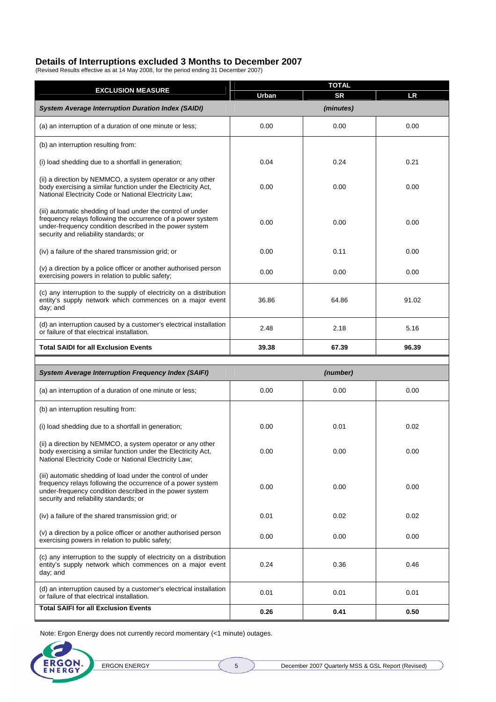#### **Details of Interruptions excluded 3 Months to December 2007**

(Revised Results effective as at 14 May 2008, for the period ending 31 December 2007)

| <b>EXCLUSION MEASURE</b>                                                                                                                                                                                                        | <b>TOTAL</b> |           |           |  |  |  |
|---------------------------------------------------------------------------------------------------------------------------------------------------------------------------------------------------------------------------------|--------------|-----------|-----------|--|--|--|
|                                                                                                                                                                                                                                 | Urban        | <b>SR</b> | <b>LR</b> |  |  |  |
| <b>System Average Interruption Duration Index (SAIDI)</b>                                                                                                                                                                       |              | (minutes) |           |  |  |  |
| (a) an interruption of a duration of one minute or less;                                                                                                                                                                        | 0.00         | 0.00      | 0.00      |  |  |  |
| (b) an interruption resulting from:                                                                                                                                                                                             |              |           |           |  |  |  |
| (i) load shedding due to a shortfall in generation;                                                                                                                                                                             | 0.04         | 0.24      | 0.21      |  |  |  |
| (ii) a direction by NEMMCO, a system operator or any other<br>body exercising a similar function under the Electricity Act,<br>National Electricity Code or National Electricity Law;                                           | 0.00         | 0.00      | 0.00      |  |  |  |
| (iii) automatic shedding of load under the control of under<br>frequency relays following the occurrence of a power system<br>under-frequency condition described in the power system<br>security and reliability standards; or | 0.00         | 0.00      | 0.00      |  |  |  |
| (iv) a failure of the shared transmission grid; or                                                                                                                                                                              | 0.00         | 0.11      | 0.00      |  |  |  |
| (v) a direction by a police officer or another authorised person<br>exercising powers in relation to public safety;                                                                                                             | 0.00         | 0.00      | 0.00      |  |  |  |
| (c) any interruption to the supply of electricity on a distribution<br>entity's supply network which commences on a major event<br>day; and                                                                                     | 36.86        | 64.86     | 91.02     |  |  |  |
| (d) an interruption caused by a customer's electrical installation<br>or failure of that electrical installation.                                                                                                               | 2.48         | 2.18      | 5.16      |  |  |  |
| <b>Total SAIDI for all Exclusion Events</b>                                                                                                                                                                                     | 39.38        | 67.39     | 96.39     |  |  |  |
|                                                                                                                                                                                                                                 |              |           |           |  |  |  |
| <b>System Average Interruption Frequency Index (SAIFI)</b>                                                                                                                                                                      |              | (number)  |           |  |  |  |
| (a) an interruption of a duration of one minute or less;                                                                                                                                                                        | 0.00         | 0.00      | 0.00      |  |  |  |
| (b) an interruption resulting from:                                                                                                                                                                                             |              |           |           |  |  |  |
| (i) load shedding due to a shortfall in generation;                                                                                                                                                                             | 0.00         | 0.01      | 0.02      |  |  |  |
| (ii) a direction by NEMMCO, a system operator or any other<br>body exercising a similar function under the Electricity Act,<br>National Electricity Code or National Electricity Law;                                           | 0.00         | 0.00      | 0.00      |  |  |  |
| (iii) automatic shedding of load under the control of under<br>frequency relays following the occurrence of a power system<br>under-frequency condition described in the power system<br>security and reliability standards; or | 0.00         | 0.00      | 0.00      |  |  |  |
| (iv) a failure of the shared transmission grid; or                                                                                                                                                                              | 0.01         | 0.02      | 0.02      |  |  |  |
| (v) a direction by a police officer or another authorised person<br>exercising powers in relation to public safety;                                                                                                             | 0.00         | 0.00      | 0.00      |  |  |  |
| (c) any interruption to the supply of electricity on a distribution<br>entity's supply network which commences on a major event<br>day; and                                                                                     | 0.24         | 0.36      | 0.46      |  |  |  |
| (d) an interruption caused by a customer's electrical installation<br>or failure of that electrical installation.                                                                                                               | 0.01         | 0.01      | 0.01      |  |  |  |
| <b>Total SAIFI for all Exclusion Events</b>                                                                                                                                                                                     | 0.26         | 0.41      | 0.50      |  |  |  |

Note: Ergon Energy does not currently record momentary (<1 minute) outages.

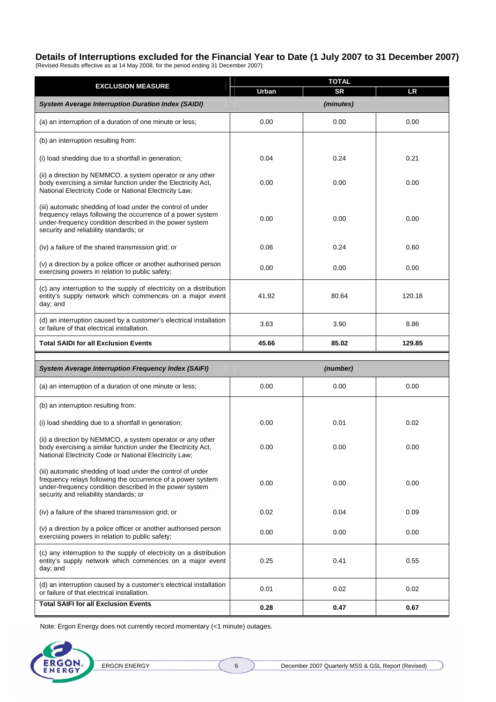## **Details of Interruptions excluded for the Financial Year to Date (1 July 2007 to 31 December 2007)**

(Revised Results effective as at 14 May 2008, for the period ending 31 December 2007)

| <b>EXCLUSION MEASURE</b>                                                                                                                                                                                                        | <b>TOTAL</b> |           |           |  |  |  |
|---------------------------------------------------------------------------------------------------------------------------------------------------------------------------------------------------------------------------------|--------------|-----------|-----------|--|--|--|
|                                                                                                                                                                                                                                 | Urban        | <b>SR</b> | <b>LR</b> |  |  |  |
| <b>System Average Interruption Duration Index (SAIDI)</b>                                                                                                                                                                       |              | (minutes) |           |  |  |  |
| (a) an interruption of a duration of one minute or less;                                                                                                                                                                        | 0.00         | 0.00      | 0.00      |  |  |  |
| (b) an interruption resulting from:                                                                                                                                                                                             |              |           |           |  |  |  |
| (i) load shedding due to a shortfall in generation;                                                                                                                                                                             | 0.04         | 0.24      | 0.21      |  |  |  |
| (ii) a direction by NEMMCO, a system operator or any other<br>body exercising a similar function under the Electricity Act,<br>National Electricity Code or National Electricity Law;                                           | 0.00         | 0.00      | 0.00      |  |  |  |
| (iii) automatic shedding of load under the control of under<br>frequency relays following the occurrence of a power system<br>under-frequency condition described in the power system<br>security and reliability standards; or | 0.00         | 0.00      | 0.00      |  |  |  |
| (iv) a failure of the shared transmission grid; or                                                                                                                                                                              | 0.06         | 0.24      | 0.60      |  |  |  |
| (v) a direction by a police officer or another authorised person<br>exercising powers in relation to public safety;                                                                                                             | 0.00         | 0.00      | 0.00      |  |  |  |
| (c) any interruption to the supply of electricity on a distribution<br>entity's supply network which commences on a major event<br>day; and                                                                                     | 41.92        | 80.64     | 120.18    |  |  |  |
| (d) an interruption caused by a customer's electrical installation<br>or failure of that electrical installation.                                                                                                               | 3.63         | 3.90      | 8.86      |  |  |  |
| <b>Total SAIDI for all Exclusion Events</b>                                                                                                                                                                                     | 45.66        | 85.02     | 129.85    |  |  |  |
|                                                                                                                                                                                                                                 |              |           |           |  |  |  |
| <b>System Average Interruption Frequency Index (SAIFI)</b>                                                                                                                                                                      |              | (number)  |           |  |  |  |
| (a) an interruption of a duration of one minute or less;                                                                                                                                                                        | 0.00         | 0.00      | 0.00      |  |  |  |
| (b) an interruption resulting from:                                                                                                                                                                                             |              |           |           |  |  |  |
| (i) load shedding due to a shortfall in generation;                                                                                                                                                                             | 0.00         | 0.01      | 0.02      |  |  |  |
| (ii) a direction by NEMMCO, a system operator or any other<br>body exercising a similar function under the Electricity Act,<br>National Electricity Code or National Electricity Law;                                           | 0.00         | 0.00      | 0.00      |  |  |  |
| (iii) automatic shedding of load under the control of under<br>frequency relays following the occurrence of a power system<br>under-frequency condition described in the power system<br>security and reliability standards; or | 0.00         | 0.00      | 0.00      |  |  |  |
| (iv) a failure of the shared transmission grid; or                                                                                                                                                                              | 0.02         | 0.04      | 0.09      |  |  |  |
| (v) a direction by a police officer or another authorised person<br>exercising powers in relation to public safety;                                                                                                             | 0.00         | 0.00      | 0.00      |  |  |  |
| (c) any interruption to the supply of electricity on a distribution<br>entity's supply network which commences on a major event<br>day; and                                                                                     | 0.25         | 0.41      | 0.55      |  |  |  |
| (d) an interruption caused by a customer's electrical installation<br>or failure of that electrical installation.                                                                                                               | 0.01         | 0.02      | 0.02      |  |  |  |
| <b>Total SAIFI for all Exclusion Events</b>                                                                                                                                                                                     | 0.28         | 0.47      | 0.67      |  |  |  |

Note: Ergon Energy does not currently record momentary (<1 minute) outages.

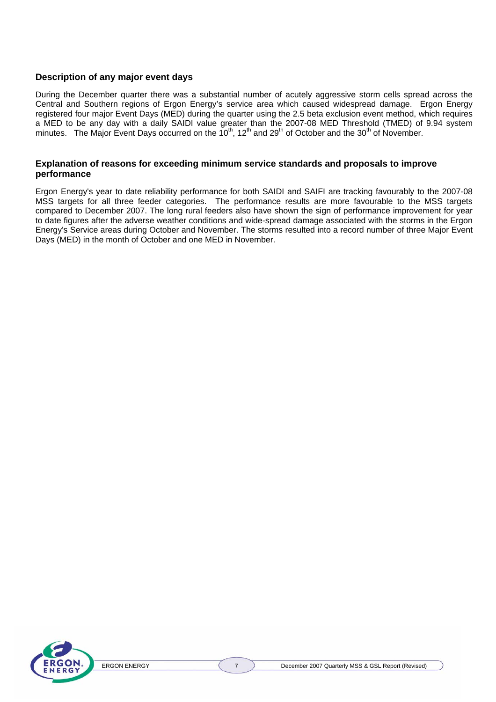#### **Description of any major event days**

During the December quarter there was a substantial number of acutely aggressive storm cells spread across the Central and Southern regions of Ergon Energy's service area which caused widespread damage. Ergon Energy registered four major Event Days (MED) during the quarter using the 2.5 beta exclusion event method, which requires a MED to be any day with a daily SAIDI value greater than the 2007-08 MED Threshold (TMED) of 9.94 system minutes. The Major Event Days occurred on the  $10^{th}$ , 12<sup>th</sup> and 29<sup>th</sup> of October and the 30<sup>th</sup> of November.

#### **Explanation of reasons for exceeding minimum service standards and proposals to improve performance**

Ergon Energy's year to date reliability performance for both SAIDI and SAIFI are tracking favourably to the 2007-08 MSS targets for all three feeder categories. The performance results are more favourable to the MSS targets compared to December 2007. The long rural feeders also have shown the sign of performance improvement for year to date figures after the adverse weather conditions and wide-spread damage associated with the storms in the Ergon Energy's Service areas during October and November. The storms resulted into a record number of three Major Event Days (MED) in the month of October and one MED in November.

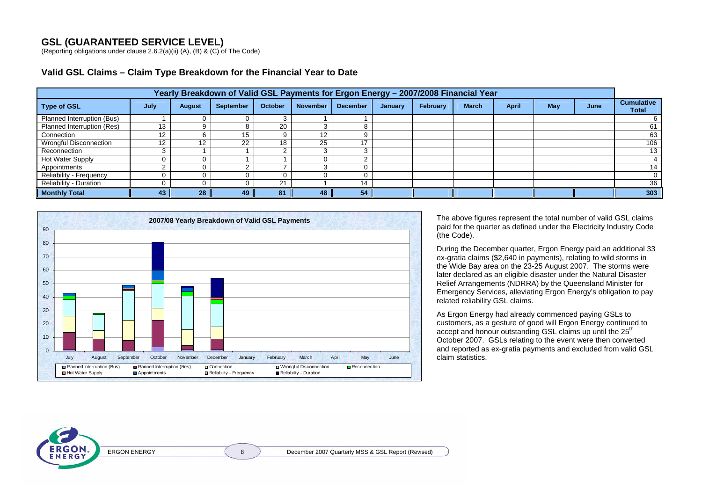## **GSL (GUARANTEED SERVICE LEVEL)**

(Reporting obligations under clause 2.6.2(a)(ii) (A), (B) & (C) of The Code)

| Yearly Breakdown of Valid GSL Payments for Ergon Energy - 2007/2008 Financial Year |      |               |                  |                |                 |                 |         |          |              |              |     |      |                                   |
|------------------------------------------------------------------------------------|------|---------------|------------------|----------------|-----------------|-----------------|---------|----------|--------------|--------------|-----|------|-----------------------------------|
| <b>Type of GSL</b>                                                                 | July | <b>August</b> | <b>September</b> | <b>October</b> | <b>November</b> | <b>December</b> | January | February | <b>March</b> | <b>April</b> | May | June | <b>Cumulative</b><br><b>Total</b> |
| Planned Interruption (Bus)                                                         |      |               |                  |                |                 |                 |         |          |              |              |     |      |                                   |
| Planned Interruption (Res)                                                         | 13   |               |                  | 20             |                 |                 |         |          |              |              |     |      | 61                                |
| Connection                                                                         |      |               | 15.              |                | 12              |                 |         |          |              |              |     |      | 63                                |
| <b>Wrongful Disconnection</b>                                                      | 12   | 12            | າາ<br>22         | 18             | 25              |                 |         |          |              |              |     |      | 106                               |
| Reconnection                                                                       |      |               |                  |                |                 |                 |         |          |              |              |     |      | 13                                |
| Hot Water Supply                                                                   |      |               |                  |                |                 |                 |         |          |              |              |     |      |                                   |
| Appointments                                                                       |      |               |                  |                |                 |                 |         |          |              |              |     |      | 14                                |
| Reliability - Frequency                                                            |      |               |                  |                |                 |                 |         |          |              |              |     |      |                                   |
| <b>Reliability - Duration</b>                                                      |      |               |                  | 21             |                 | 14              |         |          |              |              |     |      | 36                                |
| <b>Monthly Total</b>                                                               | 43   | 28            | 49               | 81             | 48              | 54              |         |          |              |              |     |      | 303                               |



The above figures represent the total number of valid GSL claims paid for the quarter as defined under the Electricity Industry Code (the Code).

During the December quarter, Ergon Energy paid an additional 33 ex-gratia claims (\$2,640 in payments), relating to wild storms in the Wide Bay area on the 23-25 August 2007. The storms were later declared as an eligible disaster under the Natural Disaster Relief Arrangements (NDRRA) by the Queensland Minister for Emergency Services, alleviating Ergon Energy's obligation to pay related reliability GSL claims.

As Ergon Energy had already commenced paying GSLs to customers, as a gesture of good will Ergon Energy continued to accept and honour outstanding GSL claims up until the 25<sup>th</sup> October 2007. GSLs relating to the event were then converted and reported as ex-gratia payments and excluded from valid GSL claim statistics.

**ERGON**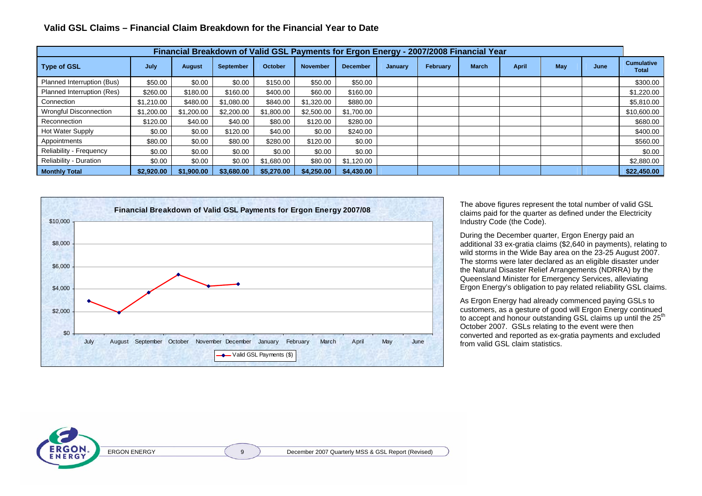|  |  | Valid GSL Claims - Financial Claim Breakdown for the Financial Year to Date |
|--|--|-----------------------------------------------------------------------------|
|--|--|-----------------------------------------------------------------------------|

| Financial Breakdown of Valid GSL Payments for Ergon Energy - 2007/2008 Financial Year |            |               |                  |            |                 |                 |         |          |              |              |     |      |                            |
|---------------------------------------------------------------------------------------|------------|---------------|------------------|------------|-----------------|-----------------|---------|----------|--------------|--------------|-----|------|----------------------------|
| <b>Type of GSL</b>                                                                    | July       | <b>August</b> | <b>September</b> | October    | <b>November</b> | <b>December</b> | January | February | <b>March</b> | <b>April</b> | May | June | <b>Cumulative</b><br>Total |
| Planned Interruption (Bus)                                                            | \$50.00    | \$0.00        | \$0.00           | \$150.00   | \$50.00         | \$50.00         |         |          |              |              |     |      | \$300.00                   |
| Planned Interruption (Res)                                                            | \$260.00   | \$180.00      | \$160.00         | \$400.00   | \$60.00         | \$160.00        |         |          |              |              |     |      | \$1,220.00                 |
| Connection                                                                            | \$1,210.00 | \$480.00      | \$1.080.00       | \$840.00   | \$1,320.00      | \$880.00        |         |          |              |              |     |      | \$5,810.00                 |
| <b>Wrongful Disconnection</b>                                                         | \$1,200.00 | \$1,200.00    | \$2,200.00       | \$1,800.00 | \$2,500.00      | \$1,700.00      |         |          |              |              |     |      | \$10,600.00                |
| Reconnection                                                                          | \$120.00   | \$40.00       | \$40.00          | \$80.00    | \$120.00        | \$280.00        |         |          |              |              |     |      | \$680.00                   |
| Hot Water Supply                                                                      | \$0.00     | \$0.00        | \$120.00         | \$40.00    | \$0.00          | \$240.00        |         |          |              |              |     |      | \$400.00                   |
| Appointments                                                                          | \$80.00    | \$0.00        | \$80.00          | \$280.00   | \$120.00        | \$0.00          |         |          |              |              |     |      | \$560.00                   |
| Reliability - Frequency                                                               | \$0.00     | \$0.00        | \$0.00           | \$0.00     | \$0.00          | \$0.00          |         |          |              |              |     |      | \$0.00                     |
| <b>Reliability - Duration</b>                                                         | \$0.00     | \$0.00        | \$0.00           | \$1,680.00 | \$80.00         | \$1,120.00      |         |          |              |              |     |      | \$2,880.00                 |
| <b>Monthly Total</b>                                                                  | \$2,920,00 | \$1,900.00    | \$3,680,00       | \$5.270.00 | \$4,250,00      | \$4,430,00      |         |          |              |              |     |      | \$22,450.00                |



The above figures represent the total number of valid GSL claims paid for the quarter as defined under the Electricity Industry Code (the Code).

During the December quarter, Ergon Energy paid an additional 33 ex-gratia claims (\$2,640 in payments), relating to wild storms in the Wide Bay area on the 23-25 August 2007. The storms were later declared as an eligible disaster under the Natural Disaster Relief Arrangements (NDRRA) by the Queensland Minister for Emergency Services, alleviating Ergon Energy's obligation to pay related reliability GSL claims.

As Ergon Energy had already commenced paying GSLs to customers, as a gesture of good will Ergon Energy continued to accept and honour outstanding GSL claims up until the 25<sup>th</sup> October 2007. GSLs relating to the event were then converted and reported as ex-gratia payments and excluded from valid GSL claim statistics.

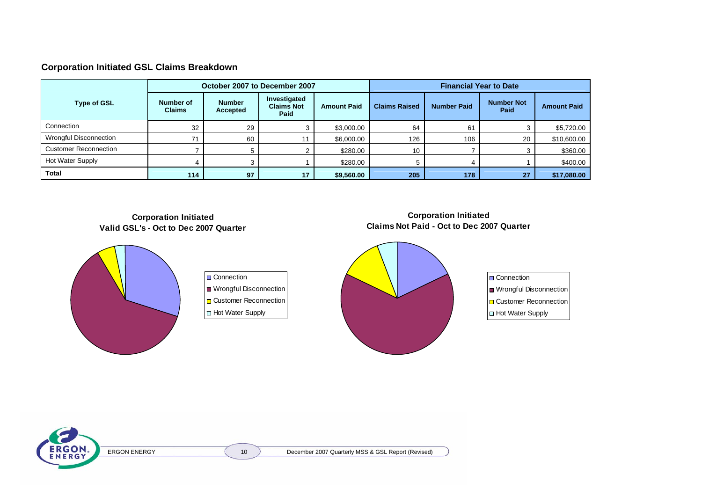#### **Corporation Initiated GSL Claims Breakdown**

|                              |                            |                           | October 2007 to December 2007             |                    | <b>Financial Year to Date</b> |                    |                                  |                    |  |
|------------------------------|----------------------------|---------------------------|-------------------------------------------|--------------------|-------------------------------|--------------------|----------------------------------|--------------------|--|
| <b>Type of GSL</b>           | Number of<br><b>Claims</b> | <b>Number</b><br>Accepted | Investigated<br><b>Claims Not</b><br>Paid | <b>Amount Paid</b> | <b>Claims Raised</b>          | <b>Number Paid</b> | <b>Number Not</b><br><b>Paid</b> | <b>Amount Paid</b> |  |
| Connection                   | 32                         | 29                        |                                           | \$3,000.00         | 64                            | 61                 |                                  | \$5,720.00         |  |
| Wrongful Disconnection       | 71                         | 60                        | 11                                        | \$6,000.00         | 126                           | 106                | 20                               | \$10,600.00        |  |
| <b>Customer Reconnection</b> |                            |                           |                                           | \$280.00           | 10                            |                    |                                  | \$360.00           |  |
| <b>Hot Water Supply</b>      |                            |                           |                                           | \$280.00           |                               |                    |                                  | \$400.00           |  |
| <b>Total</b>                 | 114                        | 97                        | 17                                        | \$9,560.00         | 205                           | 178                | 27                               | \$17,080.00        |  |

**Corporation Initiated Valid GSL's - Oct to Dec 2007 Quarter** 



Connection Wrongful Disconnection Customer Reconnection Hot Water Supply

#### **Corporation Initiated Claims Not Paid - Oct to Dec 2007 Quarter**



ERGON ERGON ENERGY (10 ) December 2007 Quarterly MSS & GSL Report (Revised)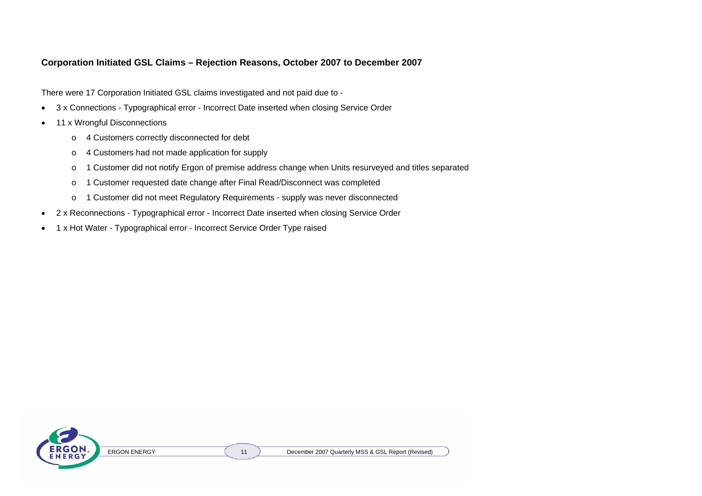#### **Corporation Initiated GSL Claims – Rejection Reasons, October 2007 to December 2007**

There were 17 Corporation Initiated GSL claims investigated and not paid due to -

- 3 x Connections Typographical error Incorrect Date inserted when closing Service Order
- 11 x Wrongful Disconnections
	- <sup>o</sup> 4 Customers correctly disconnected for debt
	- <sup>o</sup> 4 Customers had not made application for supply
	- <sup>o</sup> 1 Customer did not notify Ergon of premise address change when Units resurveyed and titles separated
	- <sup>o</sup> 1 Customer requested date change after Final Read/Disconnect was completed
	- <sup>o</sup> 1 Customer did not meet Regulatory Requirements supply was never disconnected
- 2 x Reconnections Typographical error Incorrect Date inserted when closing Service Order
- 1 x Hot Water Typographical error Incorrect Service Order Type raised

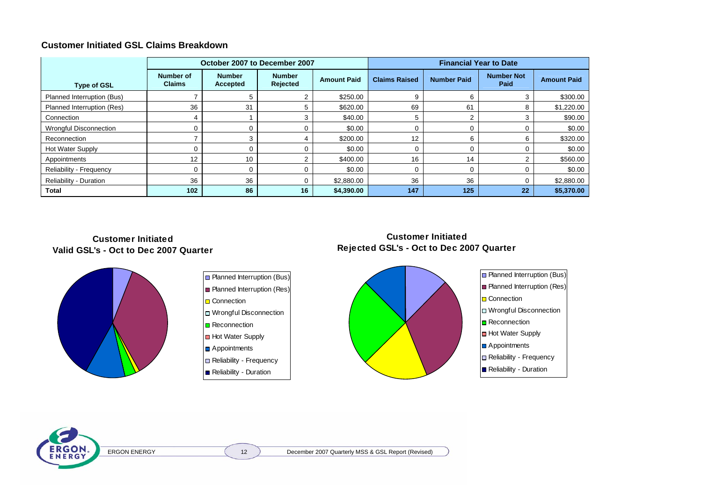#### **Customer Initiated GSL Claims Breakdown**

|                               | October 2007 to December 2007     |                           |                           |                    | <b>Financial Year to Date</b> |                    |                                  |                    |
|-------------------------------|-----------------------------------|---------------------------|---------------------------|--------------------|-------------------------------|--------------------|----------------------------------|--------------------|
| <b>Type of GSL</b>            | <b>Number of</b><br><b>Claims</b> | <b>Number</b><br>Accepted | <b>Number</b><br>Rejected | <b>Amount Paid</b> | <b>Claims Raised</b>          | <b>Number Paid</b> | <b>Number Not</b><br><b>Paid</b> | <b>Amount Paid</b> |
| Planned Interruption (Bus)    |                                   |                           |                           | \$250.00           |                               |                    |                                  | \$300.00           |
| Planned Interruption (Res)    | 36                                | 31                        |                           | \$620.00           | 69                            | 61                 |                                  | \$1,220.00         |
| Connection                    |                                   |                           |                           | \$40.00            |                               |                    |                                  | \$90.00            |
| <b>Wrongful Disconnection</b> |                                   |                           |                           | \$0.00             |                               |                    |                                  | \$0.00             |
| Reconnection                  |                                   | ີ                         |                           | \$200.00           | 12                            |                    |                                  | \$320.00           |
| <b>Hot Water Supply</b>       |                                   |                           |                           | \$0.00             |                               |                    |                                  | \$0.00             |
| Appointments                  | 12                                | 10                        |                           | \$400.00           | 16                            | 14                 |                                  | \$560.00           |
| Reliability - Frequency       | 0                                 |                           |                           | \$0.00             |                               |                    |                                  | \$0.00             |
| <b>Reliability - Duration</b> | 36                                | 36                        | 0                         | \$2,880.00         | 36                            | 36                 |                                  | \$2,880.00         |
| Total                         | 102                               | 86                        | 16                        | \$4,390.00         | 147                           | 125                | 22                               | \$5,370.00         |

#### **Customer InitiatedValid GSL's - Oct to Dec 2007 Quarter**





**Customer InitiatedRejected GSL's - Oct to Dec 2007 Quarter**